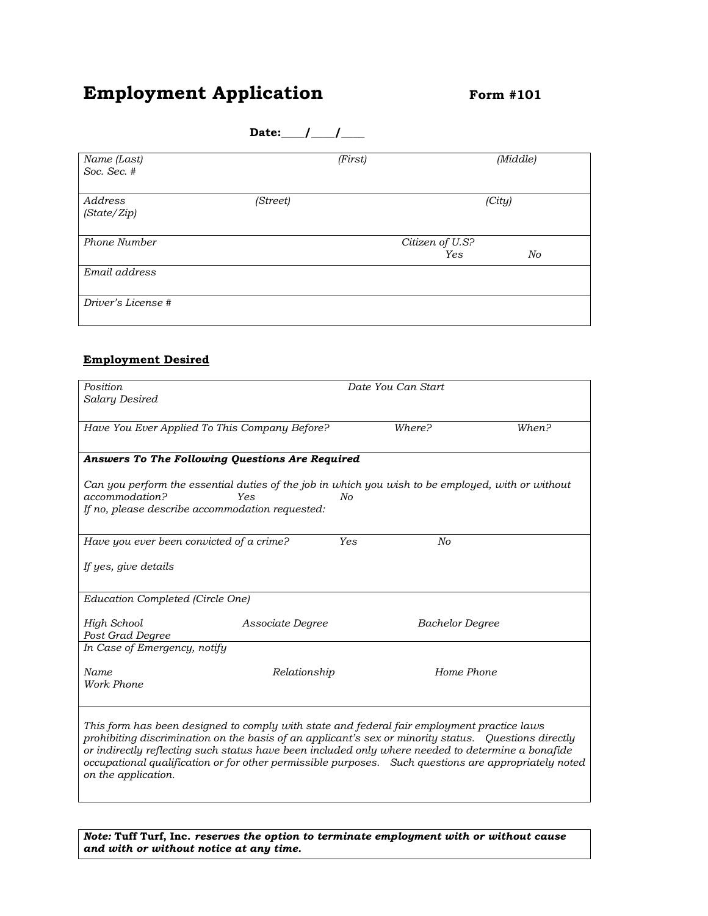# **Employment Application** *Form #101*

|                                                                        | Date: $/$ /                                                                                                                                                                                                          |                        |          |
|------------------------------------------------------------------------|----------------------------------------------------------------------------------------------------------------------------------------------------------------------------------------------------------------------|------------------------|----------|
| Name (Last)<br>Soc. Sec. #                                             |                                                                                                                                                                                                                      | (First)                | (Middle) |
| Address<br>(State/Zip)                                                 | (Street)                                                                                                                                                                                                             |                        | (City)   |
| Phone Number                                                           |                                                                                                                                                                                                                      | Citizen of U.S?<br>Yes | No       |
| Email address                                                          |                                                                                                                                                                                                                      |                        |          |
| Driver's License #                                                     |                                                                                                                                                                                                                      |                        |          |
| <b>Employment Desired</b>                                              |                                                                                                                                                                                                                      |                        |          |
| Position<br>Salary Desired                                             |                                                                                                                                                                                                                      | Date You Can Start     |          |
|                                                                        | Have You Ever Applied To This Company Before?                                                                                                                                                                        | Where?                 | When?    |
| accommodation?                                                         | Answers To The Following Questions Are Required<br>Can you perform the essential duties of the job in which you wish to be employed, with or without<br>Yes<br>No<br>If no, please describe accommodation requested: |                        |          |
| Have you ever been convicted of a crime?                               |                                                                                                                                                                                                                      | Yes<br>No              |          |
| If yes, give details                                                   |                                                                                                                                                                                                                      |                        |          |
| Education Completed (Circle One)                                       |                                                                                                                                                                                                                      |                        |          |
| <b>High School</b><br>Post Grad Degree<br>In Case of Emergency, notify | Associate Degree                                                                                                                                                                                                     | <b>Bachelor Degree</b> |          |
| Name<br>Work Phone                                                     | Relationship                                                                                                                                                                                                         | Home Phone             |          |

*This form has been designed to comply with state and federal fair employment practice laws prohibiting discrimination on the basis of an applicant's sex or minority status. Questions directly or indirectly reflecting such status have been included only where needed to determine a bonafide occupational qualification or for other permissible purposes. Such questions are appropriately noted on the application.*

*Note:* **Tuff Turf, Inc.** *reserves the option to terminate employment with or without cause and with or without notice at any time.*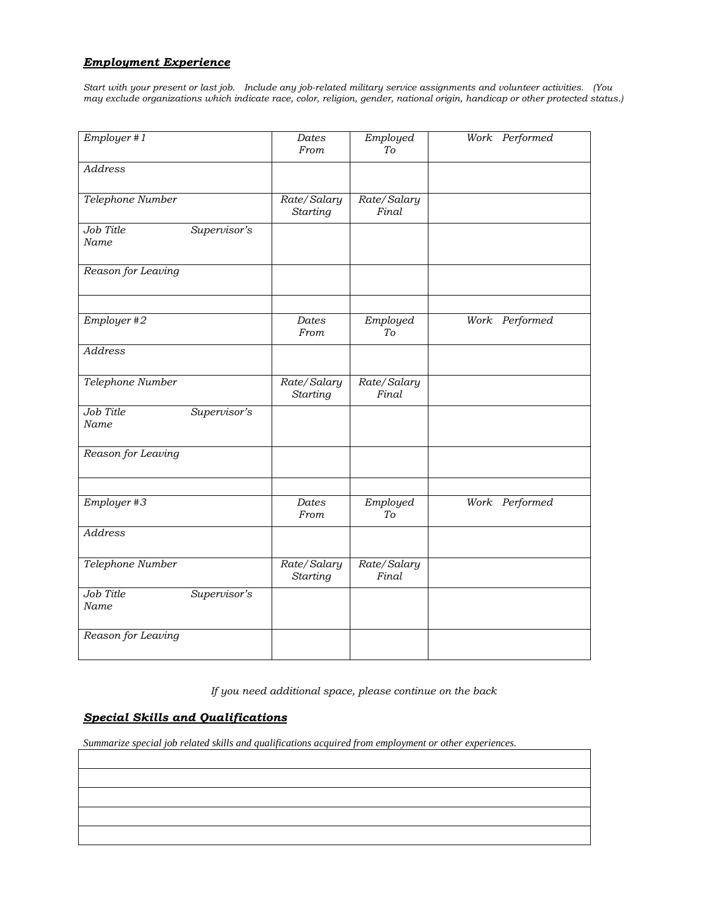#### *Employment Experience*

*Start with your present or last job. Include any job-related military service assignments and volunteer activities. (You may exclude organizations which indicate race, color, religion, gender, national origin, handicap or other protected status.)*

| Employer #1        |              | Dates<br>From                  | Employed<br>To       | Work Performed |
|--------------------|--------------|--------------------------------|----------------------|----------------|
| <b>Address</b>     |              |                                |                      |                |
| Telephone Number   |              | Rate/Salary<br>Starting        | Rate/Salary<br>Final |                |
| Job Title<br>Name  | Supervisor's |                                |                      |                |
| Reason for Leaving |              |                                |                      |                |
| Employer #2        |              | Dates                          | Employed             | Work Performed |
|                    |              | From                           | Tо                   |                |
| <b>Address</b>     |              |                                |                      |                |
| Telephone Number   |              | Rate/Salary<br><b>Starting</b> | Rate/Salary<br>Final |                |
| Job Title<br>Name  | Supervisor's |                                |                      |                |
| Reason for Leaving |              |                                |                      |                |
| Employer #3        |              | Dates<br>From                  | Employed<br>To       | Work Performed |
| <b>Address</b>     |              |                                |                      |                |
| Telephone Number   |              | Rate/Salary<br><b>Starting</b> | Rate/Salary<br>Final |                |
| Job Title<br>Name  | Supervisor's |                                |                      |                |
| Reason for Leaving |              |                                |                      |                |

*If you need additional space, please continue on the back*

## *Special Skills and Qualifications*

*Summarize special job related skills and qualifications acquired from employment or other experiences.*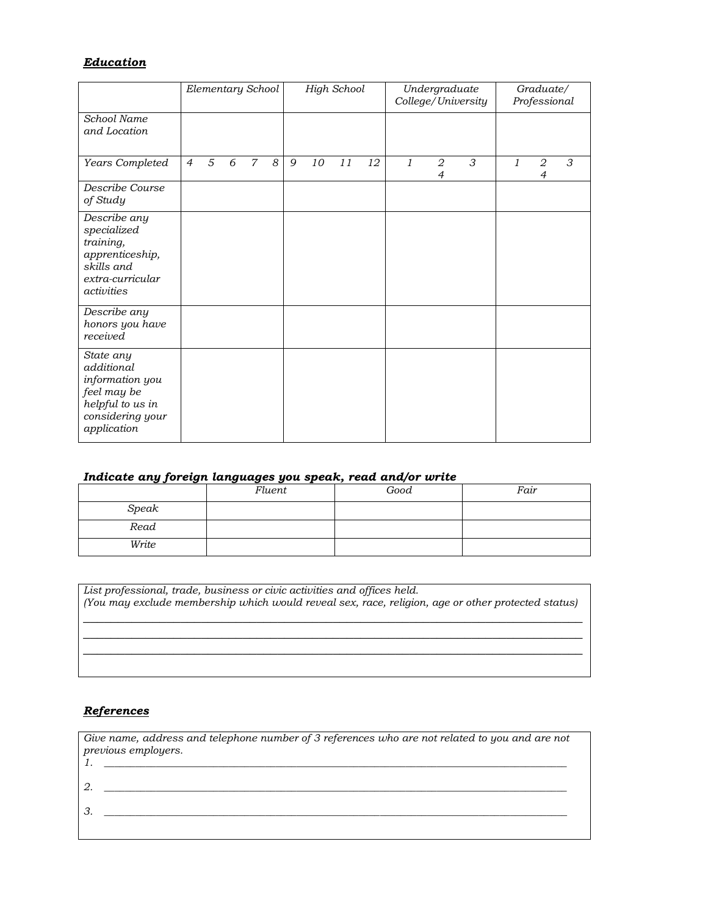### *Education*

|                                                                                                                  | Elementary School |   | <b>High School</b> |                |   |   | Undergraduate<br>College/University |    |    | Graduate/<br>Professional |                                  |   |   |                     |   |
|------------------------------------------------------------------------------------------------------------------|-------------------|---|--------------------|----------------|---|---|-------------------------------------|----|----|---------------------------|----------------------------------|---|---|---------------------|---|
| School Name<br>and Location                                                                                      |                   |   |                    |                |   |   |                                     |    |    |                           |                                  |   |   |                     |   |
| Years Completed                                                                                                  | $\overline{4}$    | 5 | 6                  | $\overline{7}$ | 8 | 9 | 10                                  | 11 | 12 | $\mathfrak{1}$            | $\overline{2}$<br>$\overline{4}$ | 3 | 1 | 2<br>$\overline{4}$ | 3 |
| Describe Course<br>of Study                                                                                      |                   |   |                    |                |   |   |                                     |    |    |                           |                                  |   |   |                     |   |
| Describe any<br>specialized<br>training,<br>apprenticeship,<br>skills and<br>extra-curricular<br>activities      |                   |   |                    |                |   |   |                                     |    |    |                           |                                  |   |   |                     |   |
| Describe any<br>honors you have<br>received                                                                      |                   |   |                    |                |   |   |                                     |    |    |                           |                                  |   |   |                     |   |
| State any<br>additional<br>information you<br>feel may be<br>helpful to us in<br>considering your<br>application |                   |   |                    |                |   |   |                                     |    |    |                           |                                  |   |   |                     |   |

## *Indicate any foreign languages you speak, read and/or write*

|       | Fluent | Good | Fair |
|-------|--------|------|------|
| Speak |        |      |      |
| Read  |        |      |      |
| Write |        |      |      |

| List professional, trade, business or civic activities and offices held.<br>(You may exclude membership which would reveal sex, race, religion, age or other protected status) |
|--------------------------------------------------------------------------------------------------------------------------------------------------------------------------------|
|                                                                                                                                                                                |
|                                                                                                                                                                                |
|                                                                                                                                                                                |

### *References*

| Give name, address and telephone number of 3 references who are not related to you and are not<br>previous employers. |
|-----------------------------------------------------------------------------------------------------------------------|
|                                                                                                                       |
|                                                                                                                       |
|                                                                                                                       |